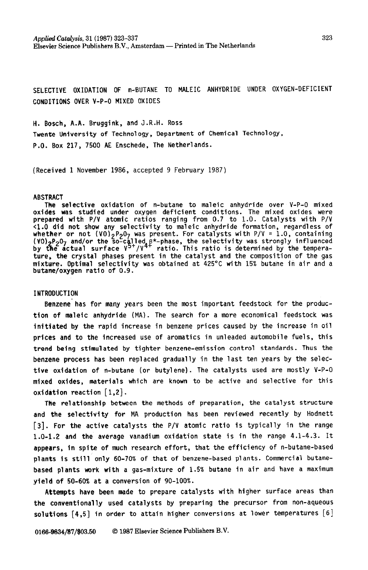**Applkd Catalysis, 31(1987) 323-337 Elsevier Science Publishers B.V., Amsterdam - Printed in The Netherlands** 

**SELECTIVE** OXIDATION **OF n-BUTANE TO MALEIC ANHYDRIDE UNDER OXYGEN-DEFICIENT COMDiTIONS OVER V-P-O MIXED OXIDES** 

**H. Bosch, A.A. Bruggink, and J.R.H. Ross Twente University of Technology, Department of Chemical Technology, P.O. Box 217, 7500 AE Enschede, The Netherlands.** 

**(Received 1 November 1986, accepted 9 February 1987)** 

#### **ABSTRACT**

**The selective oxidation of n-butane to maleic anhydride over V-P-O mixed oxides was studied under oxygen deficient conditions. The mixed oxides were prepared with P/V atomic ratios ranging from 0.7 to 1.0. Catalysts with P/V (1.0 did not show any selectivity to maleic anhydride formation, regardless of whether or not (VO)<sub>2</sub>P<sub>2</sub>O<sub>7</sub> was present. For catalysts with P/V = 1.0, containing by &e actual surface V '/V4 (VO) P207 and/or the so-cfled f\*-phase, the selectivity was strongly influenced ratio. This ratio is determined by the temperature, the crystal phases present in the catalyst and the composition of the gas mixture. Optimal selectivity was obtained at 425°C with 15% butane in air and a butane/oxygen ratio of 0.9.** 

### **INTRODUCTION**

**Benzene'has for many years been the most important feedstock for the production of maleic anhydride (MA). The search for a more economical feedstock was initiated by the rapid increase in benzene prices caused by the increase in oil prices and to the increased use of aromatics in unleaded automobile fuels, this trend being stimulated by tighter benzene-emission control standards. Thus the benzene process has been replaced gradually in the last ten years by the selective oxidation of n-butane (or butylene). The catalysts used are mostly V-P-O mixed oxides, materials which are known to be active and selective for this oxidation reaction** [1,2].

fke **relationship between the methods of preparation, the catalyst structure and the selectivity for MA production has been reviewed recently by Hodnett [3]. For the active catalysts the P/V atomic ratio is typically in the range 1.0-1.2 and the average vanadium oxidation state is in the range 4.1-4.3. It appears, in spite of much research effort, that the efficiency of n-butane-based**  plants is still only 60-70% of that of benzene-based plants. Commercial butane**based plants work with a gas-mixture of 1.5% butane in air and have a maximum yield of 50-60% at a conversion of 90-100%.** 

**Attempts have been made to prepare catalysts with higher surface areas than the conventionally used catalysts by preparing the precursor from non-aqueous solutions [4,5] in order to attain higher conversions at lower temperatures [6]**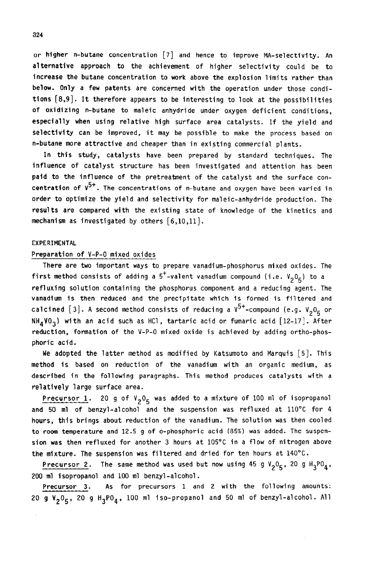**or higher n-butane concentration [7] and hence to improve MA-selectivity. An alternative approach to the achievement of higher selectivity could be to inCreaSe the butane concentration to work above the explosion limits rather than below. Only a few patents are concerned with the operation under those conditions [8,9]. It therefore appears to be interesting to look at the possibilities of oxidizing n-butane to maleic anhydride under oxygen deficient conditions, especially when using relative high surface area catalysts.** If **the yield and selectivity can be improved, it may be possible to make the process based on n-butane more attractive and cheaper than in existing commercial plants.** 

**In this study, catalysts have been prepared by standard techniques. The infl Uence of Catalyst structure has been investigated and attention has been paid to the influence of the pretreatment of the catalyst and the surface concentration of V5+. The concentrations of n-butane and oxygen have been varied in order to optimize the yield and selectivity for maleic-anhydride production. The results are compared with the existing state of knowledge of the kinetics and mechanism as investigated by others [6,10,11].** 

# **EXPERIMENTAL**

# **Preparation of V-P-O mixed oxides**

**There are two important ways to prepare vanadium-phosphorus mixed oxides. The**  first method consists of adding a  $5^+$ -valent vanadium compound (i.e.  $V_2O_5$ ) to a **refluxing solution containing the phosphorus component and a reducing agent. The vanadium is then reduced and the precipitate which is formed is filtered and**  calcined [3]. A second method consists of reducing a  $V^{5+}$ -compound (e.g.  $V_2O_K$  or **NH4V03) with an acid such as HCl, tartaric acid or fumaric acid [U-17]. After reduction, formation of the V-P-O mixed oxide is achieved by adding ortho-phosphoric acid.** 

**We adopted the latter method as modified by Katsumoto and Marquis [5]. This method is based on reduction of the vanadium with an organic medium, as described in the following paragraphs. This method produces catalysts with a relatively large surface area.** 

**Precursor 1.** 20 g of  $V_2O_5$  was added to a mixture of 100 ml of isopropanol **and 50 ml of benzyl-alcohol and the suspension was refluxed at 110°C for 4 hours, this brings about reduction of the vanadium. The solution was then cooled to room temperature and 12.5 g of o-phosphoric acid (85%) was added. The suspension was then refluxed for another 3 hours at 105°C in a flow of nitrogen above the mixture. The suspension was filtered and dried for ten hours at 140°C.** 

Precursor 2. The same method was used but now using 45 g V<sub>2</sub>0<sub>5</sub>, 20 g H<sub>3</sub>P0<sub>4</sub>, **200 ml isopropanol and 100 ml benzyl-alcohol.** 

**Precursor 3. As for precursors 1 and 2 with the following amounts: 20 g V205, 20 g H3P04, 100 ml iso-propanol and 50 ml of benzyl-alcohol. All** 

**324**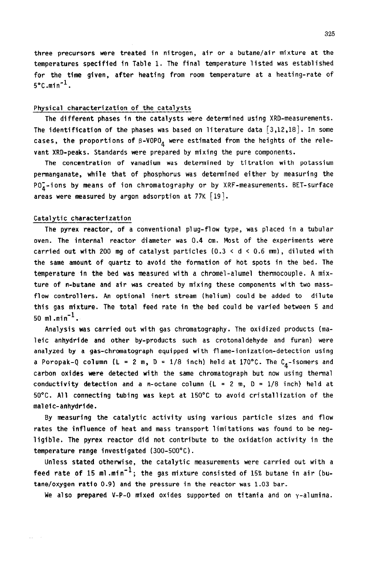**three precursors were treated in nitrogen, air or a butane/air mixture at the temperatures specified in Table 1. The final temperature listed was established for the time given, after heating from room temperature at a heating-rate of 5'C.min'l.** 

#### **Physical characterization of the catalysts**

**The different phases in the catalysts were determined using XRD-measurements. The identification of the phases was based on literature data [3,12,18]. In some**  cases, the proportions of  $\beta$ -VOPO<sub> $\alpha$ </sub> were estimated from the heights of the rele**vant XRD-peaks. Standards were prepared by mixing the pure components.** 

**The concentration of vanadium was determined by titration with potassium permanganate, while that of phosphorus was determined either by measuring the POi-ions by means of ion chromatography or by XRF-measurements. BET-surface areas were measured by argon adsorption at 77K [I9].** 

## **Catalytic characterization**

**The Pyrex reactor, of a conventional plug-flow type, was placed in a tubular oven. The internal reactor diameter was 0.4 cm. Most of the experiments were carried out with 200 mg of catalyst particles (0.3 < d < 0.6 nnn), diluted with the same amount of quartz to avoid the formation of hot spots in the bed. The temperature in the bed was measured with a chromel-alumel thermocouple. A mixture of n-butane and air was created by mixing these components with two massflow controllers. An optional inert stream (helium) could be added to dilute this gas mixture. The total feed rate in the bed could be varied between 5 and 50 ml.min -1**  .

**Analysis was carried out with gas chromatography. The oxidized products (ma**leic anhydride and other by-products such as crotonaldehyde and furan) were **analyzed by a gas-chromatograph equipped with flame-ionization-detection using a Poropak-Q column (L = 2 m, D = 1/8 inch) held at 170°C. The**  $C_A$ **-isomers and carbon oxides were detected with the same chromatograph but now using thermal conductivity detection and a n-octane column (L = 2 m, D = l/8 inch) held at 50°C. All connecting tubing was kept at 15O'C to avoid cristallization of the maleic-anhydride.** 

**By measuring the catalytic activity using various particle sizes and flow rates the influence of heat and mass transport limitations was found to be neg**ligible. The pyrex reactor did not contribute to the oxidation activity in the **temperature range investigated (300-500°C).** 

**Unless stated otherwise, the catalytic measurements were carried out with a**  feed rate of 15 ml.min<sup>-1</sup>; the gas mixture consisted of 15% butane in air (bu**tane/oxygen ratio 0.9) and the pressure in the reactor was 1.03 bar.** 

**We also prepared V-P-O mixed oxides supported on titania and on y-alumina.**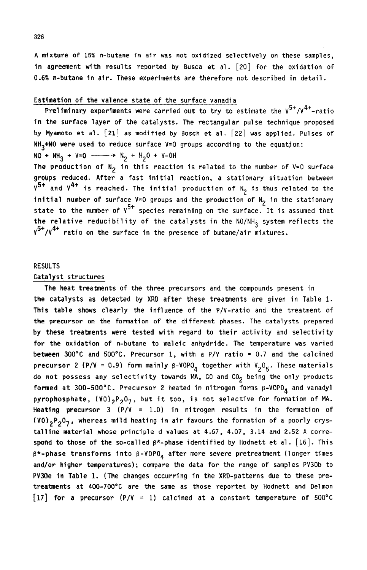**A mixture of** 15% n-butane **in air was not oxidized selectively on these samples, in agreement with results reported by Busca et al. [ZO] for the oxidation of 0.6% n-butane in air. These experiments are therefore not described in detail.** 

## **Estfmatfon of the valence state of the surface vanadia**

Preliminary experiments were carried out to try to estimate the  $V^{5+}/V^{4+}$ -ratio **in the surface layer of the catalysts. The rectangular pulse technique proposed by Myamoto et al. [21] as modified by Bosch et al. [22] was applied. Pulses of NH3+NO were used to reduce surface V=O groups according to the equation:**   $NO + NH_3 + V=0$  ---->  $N_2 + H_2O + V-OH$ 

The production of  $N_2$  in this reaction is related to the number of  $V=0$  surface **groups reduced. After a fast initial reaction, a stationary situation between**   $\sqrt{5}$ <sup>+</sup> and  $\sqrt{4}$  is reached. The initial production of N<sub>2</sub> is thus related to the **finitial number of surface V=0 groups and the production of N<sub>2</sub> in the stationary** state to the number of  $v^{5+}$  species remaining on the surface. It is assumed that the relative reducibility of the catalysts in the NO/NH<sub>3</sub> system reflects the **Q5+/Q4+ ratio on the surface in the presence of butane/air mixtures.** 

### **RESULTS**

#### **Catelyst structures**

**The heat treatments of the three precursors and the compounds present in the catalysts as detected by XRD after these treatments are given in Table 1. This table shows clearly the influence of the P/V-ratio and the treatment of the precursor on the formation of the different phases. The catalysts prepared by these treatments were tested with regard to their activity and selectivity for the oxidation of n-butane to malefc anhydrfde. The temperature was varied between 300°C and SOO'C. Precursor 1, with a P/V ratio = 0.7 and the calcined precursor 2 (P/V = 0.9)** form mainly  $\beta$ -VOPO<sub> $\Delta$ </sub> together with  $V_2O_5$ . These materials do not possess any selectivity towards MA, CO and CO<sub>2</sub> being the only products formed at 300-500°C. Precursor 2 heated in nitrogen forms  $\beta$ -VOPO<sub>A</sub> and vanadyl pyrophosphate, (VO)<sub>2</sub>P<sub>2</sub>O<sub>7</sub>, but it too, is not selective for formation of MA. **Heatfng precursor 3 (P/V = 1.0) in nitrogen results in the formation of (QO12P207, whereas mild heating in air favours the formation of a poorly crystalline materfal whose principle d values at 4.67, 4.07, 3.14 and 2.52 A correspond to those of the so-called B\*-phase identified by Hodnett et al. [16]. This @\*-phase transforms Into B-VOPO, after more severe pretreatment (longer times and/or higher temperatures); compare the data for the range of samples PV30b to**  PV30e in Table 1. (The changes occurring in the XRD-patterns due to these pre**treatments at 400-7OO\*C are the same as those reported by Hodnett and Delmon [17] for a precursor (P/Q = 1) calcined at a constant temperature of 5OO'C**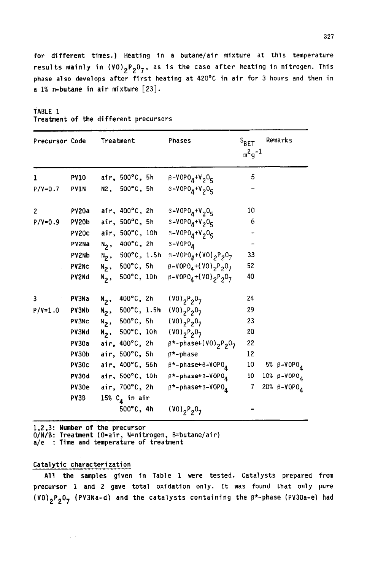**for different times.) Heating in a butane/air mixture at this temperature**  results mainly in (VO)<sub>2</sub>P<sub>2</sub>O<sub>7</sub>, as is the case after heating in nitrogen. This **phase also develops after first heating at 420°C in air for 3 hours and then in a 1% n-butane in air mixture [23].** 

**TABLE 1** 

|  |  |  |  |  |  |  | Treatment of the different precursors |  |
|--|--|--|--|--|--|--|---------------------------------------|--|
|--|--|--|--|--|--|--|---------------------------------------|--|

| Precursor Code   |             | Treatment         | Phases                                                                                                   | $S_{\text{BET}}$<br>$m^2q^{-1}$ | Remarks                          |
|------------------|-------------|-------------------|----------------------------------------------------------------------------------------------------------|---------------------------------|----------------------------------|
| 1                | <b>PV10</b> |                   | air, 500°C, 5h $\beta$ -VOPO <sub>4</sub> +V <sub>2</sub> O <sub>5</sub>                                 | 5                               |                                  |
| $P/V = 0.7$ PV1N |             |                   | N2, 500°C, 5h $\beta$ -VOPO <sub>4</sub> +V <sub>2</sub> O <sub>5</sub>                                  |                                 |                                  |
| $\overline{2}$   | PV20a       |                   | air, 400°C, 2h $\beta$ -VOPO <sub>4</sub> +V <sub>2</sub> O <sub>5</sub>                                 | 10                              |                                  |
|                  |             |                   | P/V=0.9 PV20b air, 500°C, 5h $\beta$ -VOPO <sub>4</sub> +V <sub>2</sub> O <sub>5</sub>                   | 6                               |                                  |
|                  |             |                   | PV20c air, 500°C, 10h $\beta$ -VOPO <sub>4</sub> +V <sub>2</sub> O <sub>5</sub>                          |                                 |                                  |
|                  |             |                   | PV2Na $N_2$ , 400°C, 2h $\beta$ -VOPO <sub>4</sub>                                                       | $\blacksquare$                  |                                  |
|                  | PV2Nb       |                   | N <sub>2</sub> , 500°C, 1.5h $\beta$ -V0P0 <sub>4</sub> +(V0) <sub>2</sub> P <sub>2</sub> 0 <sub>7</sub> | 33                              |                                  |
|                  | PV2Nc       |                   | N <sub>2</sub> , 500°C, 5h $\beta$ -VOPO <sub>4</sub> +(VO) <sub>2</sub> P <sub>2</sub> 0 <sub>7</sub>   | 52                              |                                  |
|                  | PV2Nd       |                   | N <sub>2</sub> , 500°C, 10h $\beta$ -VOPO <sub>4</sub> +(VO) <sub>2</sub> P <sub>2</sub> O <sub>7</sub>  | 40                              |                                  |
| 3                | PV3Na       | $N_2$ , 400°C, 2h | $(00)_{2}P_{2}0_{7}$                                                                                     | 24                              |                                  |
| $P/V = 1.0$      | PV3Nb       |                   | N <sub>2</sub> , 500°C, 1.5h (V0) <sub>2</sub> P <sub>2</sub> 0 <sub>7</sub>                             | 29                              |                                  |
|                  | PV3Nc       |                   | N <sub>2</sub> , 500°C, 5h (V0) <sub>2</sub> P <sub>2</sub> 0 <sub>7</sub>                               | 23                              |                                  |
|                  | PV3Nd       |                   | $N_2$ , 500°C, 10h (VO) <sub>2</sub> P <sub>2</sub> 0 <sub>7</sub>                                       | 20                              |                                  |
|                  |             |                   | PV30a air, 400°C, 2h $\beta^*$ -phase+(VO) <sub>2</sub> P <sub>2</sub> 0 <sub>7</sub>                    | 22                              |                                  |
|                  |             |                   | PV30b air, $500^{\circ}$ C, 5h $\beta^{*}$ -phase                                                        | 12                              |                                  |
|                  |             |                   | PV30c air, 400°C, 56h $\beta$ *-phase+ $\beta$ -VOPO <sub>4</sub>                                        |                                 | 10 5% $\beta$ -VOPO <sub>4</sub> |
|                  |             |                   | PV3Od air, 500°C, 10h $\beta^{\star}$ -phase+ $\beta$ -VOPO $_{\text{A}}$                                | 10 <sub>1</sub>                 | 10% $\beta$ -VOPO <sub>4</sub>   |
|                  | PV30e       |                   | air, 700°C, 2h $\beta$ *-phase+ $\beta$ -VOPO $_4$                                                       | 7 <sup>7</sup>                  | 20% β-VOPO <sub>4</sub>          |
|                  | PY3B        | 15% $C_a$ in air  |                                                                                                          |                                 |                                  |
|                  |             | 500°C, 4h         | $(80)_{2}P_{2}O_{7}$                                                                                     |                                 |                                  |

1,2,3: **Number of the precursor** 

**O/N/B: Treatment (O=air, N=nitrogen, B=butane/air)** 

**a/e** : **Time and temperature of treatment** 

# **Catalytic characterization**

**All the samples given in Table 1 were tested. Catalysts prepared from precursor 1 and 2 gave total oxidation only. It was found that only pure (VO)2P207 (PV3Na-d) and the catalysts containing the B\*-phase (PV3Oa-e) had**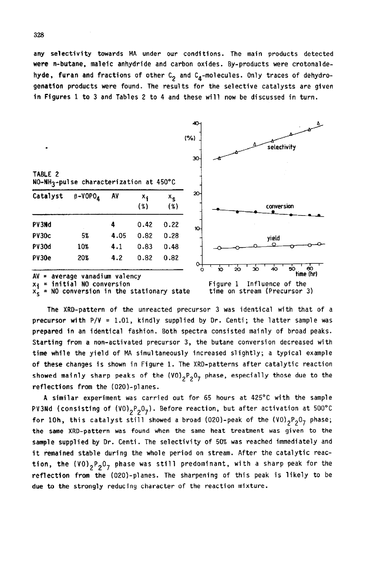**any selectivity towards MA under our conditions. The main products detected were n-butane, maleic anhydride and carbon oxides. By-products were crotonalde**hyde, furan and fractions of other C<sub>2</sub> and C<sub>4</sub>-molecules. Only traces of dehydro**genation products were found. The results for the selective catalysts are given in Figures 1 to 3 and Tables 2 to 4 and these will now be discussed in turn.** 



**% \* Ml conversion in the stationary state** 



**The XRD-pattern of the unreacted precursor 3 was identical with that of a precursor with P/V = 1.01, kindly supplied by Dr. Centi; the latter sample was prepared in an identical fashion. Both spectra consisted mainly of broad peaks. Starting from a non-activated precursor 3, the butane conversion decreased with time whfle the yield of MA simultaneously increased slightly; a typical example of these changes is shown in Figure 1. The XRD-patterns after catalytic reaction**  showed mainly sharp peaks of the (VO)<sub>2</sub>P<sub>2</sub>O<sub>7</sub> phase, especially those due to the **reflections from the (020)-planes.** 

**A similar experiment was carried out for 65 hours at 425°C with the sample**  PV3Nd (consisting of (VO)<sub>2</sub>P<sub>2</sub>O<sub>7</sub>). Before reaction, but after activation at 500°C **for 10h, this catalyst still showed a broad (020)-peak of the**  $(V0)_{2}P_{2}O_{7}$  **phase; the same XRD-pattern was found when the same heat treatment was given to the sample supplied by Dr. Centi. The selectivity of 50% was reached immediately and it remained stable during the whole period on stream. After the catalytic reac**tion, the (VO)<sub>2</sub>P<sub>2</sub>O<sub>7</sub> phase was still predominant, with a sharp peak for the **reflection from the (020)-planes. The sharpening of this peak is likely to be due to the strongly reducing character of the reaction mixture.**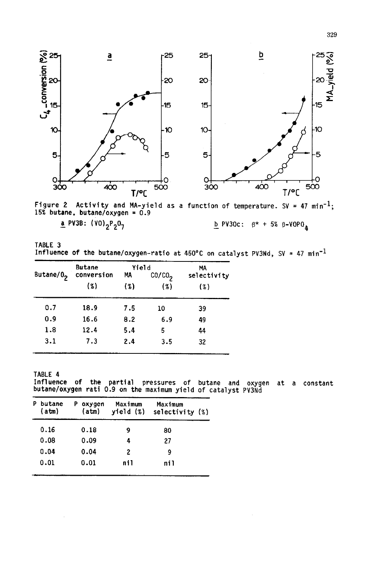

**Figure 2 Activity and MA-yield as a function of temperature. SV = 47 min-l; 15% butane, butane/oxygen = 0.9 a** PV3B: (VO)<sub>2</sub>P<sub>2</sub>O<sub>7</sub> **b PV30c:**  $\beta^*$  + 5%  $\beta$ -VOPO<sub>A</sub>

| TABLE 3 |  |                                                                                            |  |  |  |  |  |
|---------|--|--------------------------------------------------------------------------------------------|--|--|--|--|--|
|         |  | Influence of the butane/oxygen-ratio at 450°C on catalyst PV3Nd, SV = 47 min <sup>-1</sup> |  |  |  |  |  |

|                       | <b>Butane</b> | Yield |                    | MА          |  |  |
|-----------------------|---------------|-------|--------------------|-------------|--|--|
| Butane/0 <sub>2</sub> | conversion    | МA    | CO/CO <sub>2</sub> | selectivity |  |  |
|                       | (3)           | (3)   | (%)                | (3)         |  |  |
| 0.7                   | 18.9          | 7.5   | 10                 | 39          |  |  |
| 0.9                   | 16.6          | 8.2   | 6.9                | 49          |  |  |
| 1.8                   | 12.4          | 5.4   | 5                  | 44          |  |  |
| 3.1                   | 7.3           | 2.4   | 3.5                | 32          |  |  |

**TABLE 4 Influence of the partial pressures of butane and oxygen at a constant butane/oxygen rati 0.9 on the maximum yield of catalyst PV3Nd** 

| P | butane<br>(atm) | P | oxygen<br>(atm) | Maximum<br>$yield(\%)$ | Maximum<br>selectivity $(%)$ |  |
|---|-----------------|---|-----------------|------------------------|------------------------------|--|
|   | 0.16            |   | 0.18            | 9                      | 80                           |  |
|   | 0.08            |   | 0.09            | 4                      | 27                           |  |
|   | 0.04            |   | 0.04            | 2                      | 9                            |  |
|   | 0.01            |   | 0.01            | nil                    | ni1                          |  |

329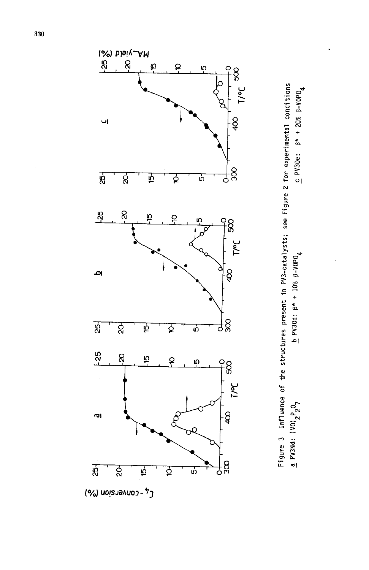



(o/al uo!sJaAuo3 -7-j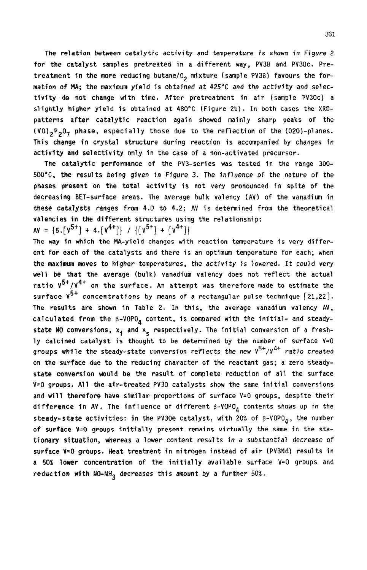**The relation between catalytic activity and temperature is shown in Figure 2 for the catalyst samples pretreated in a different way, PV3B and PV3Oc. Pre**treatment in the more reducing butane/0<sub>2</sub> mixture (sample PV3B) favours the for**mation of MA; the maximum yield is obtained** at **425'C** *and* **the activity and selectivity do not change with time. After pretreatment in air (sample PV3Oc) a slightly higher yield is obtained at 480°C (Figure Zb).** In **both cases the XRDpatterns after catalytic reaction again showed mainly sharp peaks of the (VO),P20, phase, especially those due to the reflection of the (020)-planes. This change in crystal structure during reaction is accompanied by changes in activity and selectivity only in the case of a non-activated precursor.** 

**The catalytic performance of the PV3-series was tested in the range 300- 500°C, the results being given in Figure 3. The influence of the nature of the phases present on the total activity is not very pronounced in spite of the decreasing BET-surface areas. The average bulk valency (AV) of the vanadium in these catalysts ranges from 4.0 to 4.2; AV is determined from the theoretical valencies in the different structures using the relationship:** 

 $AV = \{5.\sqrt{v^{5+}} + 4.\sqrt{v^{4+}}\}$  /  $\{\sqrt{v^{5+}} + \sqrt{v^{4+}}\}$ 

**The way in which the MA-yield changes with reaction temperature is very different for each of the catalysts and there is an optimum temperature for each; when the maximum moves to higher temperatures, the** *activity is* **'lowered. It could very well be that the average (bulk) vanadium valency does not reflect the actual ratio V5+/V4+ on the surface. An attempt was therefore made to estimate the surface V5+ concentrations by means of a rectangular pulse technique [21,22]. The results are shown in Table 2. In this, the average vanadium valency AV,**  calculated from the  $\beta$ -VOPO<sub>4</sub> content, is compared with the initial- and steadystate NO conversions, x<sub>i</sub> and x<sub>e</sub> respectively. The initial conversion of a fresh**ly calcined catalyst is thought to be determined by the number of surface V=O groups while the steady-state conversion reflects** *the new Y5+/Y4+ ratio* **created on the surface due to the reducing character of the reactant gas; a zero steadystate conversion would be the result of complete reduction of all the surface V=O groups. All the air-treated PV30 catalysts show the same initial conversions and will therefore have similar proportions of surface V=O groups, despite their**  difference in AV. The influence of different  $\beta$ -VOPO<sub>4</sub> contents shows up in the steady-state activities: in the PV30e catalyst, with 20% of  $\beta$ -VOPO<sub>A</sub>, the number **of surface V=O groups initially present remains virtually the same in the stationary sftuation, whereas a lower content results** *in a* **substantial decrease of surface V=O groups. Heat treatment in nitrogen instead of air (PVSNd) results in a 50% lower concentration of the initially available surface V=O groups and**  reduction with NO-NH<sub>3</sub> decreases this amount by a further 50%.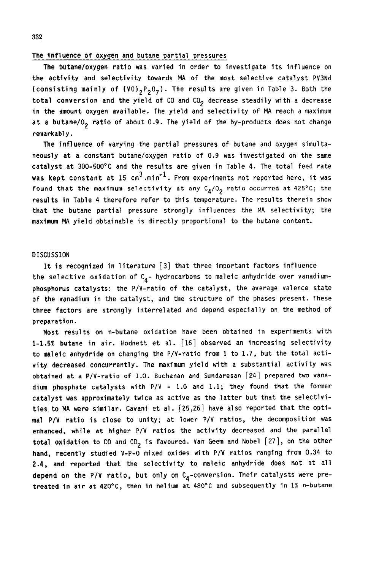### The influence of oxygen and butane partial pressures

**The butane/oxygen ratio was varied in order to investigate its influence on the activity and selectivity towards MA of the most selective catalyst PV3Nd**  (consisting mainly of (VO)<sub>2</sub>P<sub>2</sub>O<sub>7</sub>). The results are given in Table 3. Both the total conversion and the yield of CO and CO<sub>2</sub> decrease steadily with a decrease **in the amount oxygen available. The yield and selectivity of MA reach a maximum**  at a butane/0<sub>2</sub> ratio of about 0.9. The yield of the by-products does not change **remarkably.** 

**The influence of varying the partial pressures of butane and oxygen simultaneously at a constant butane/oxygen ratio of 0.9 was investigated on the same catalyst at 300-500°C and the results are given in Table 4. The total feed rate was kept constant at 15 cm3.min -1**  . **From experiments not reported here, it was**  found that the maximum selectivity at any  $C_A/0_2$  ratio occurred at 425°C; the **results in Table 4 therefore refer to this temperature. The results therein show that the butane partial pressure strongly influences the MA selectivity; the maxinum MA yield obtainable is directly proportional to the butane content.** 

### **DISCUSSION**

It **is recognized in literature [3] that three important factors influence**  the selective oxidation of C<sub>A</sub>- hydrocarbons to maleic anhydride over vanadium**phosphorus catalysts: the P/V-ratio of the catalyst, the average valence state of the vanadium in the catalyst, and the structure of the phases present. These three factors are strongly interrelated and depend especially on the method of preparation.** 

**Most results on n-butane oxidation have been obtained in experiments with l-1.5% butane in air. Hodnett et al. [16] observed an increasing selectivity to maleic anhydride on changing the P/V-ratio from 1 to 1.7, but the total activity decreased concurrently. The maximum yield with a substantial activity was obtained at a P/V-ratio of 1.0. Buchanan and Sundaresan [24] prepared two vana**dium phosphate catalysts with  $P/V = 1.0$  and  $1.1$ ; they found that the former **catalyst was approximately twice as active as the latter but that the selectivities to MA were similar. Cavani et al. [25,26] have also reported that the optimal P/V ratio is close to unity; at lower P/V ratios, the decomposition was enhanced, while at higher P/V ratios the activity decreased and the parallel**  total oxidation to CO and CO<sub>2</sub> is favoured. Van Geem and Nobel [27], on the other **hand, recently studied V-P-O mixed oxides with P/V ratios ranging from 0.34 to 2.4, and reported that the selectivity to maleic anhydride does not at all**  depend on the P/V ratio, but only on C<sub>A</sub>-conversion. Their catalysts were pre**treated in air at 42O"C, then in helium at 480°C and subsequently in 1% n-butane**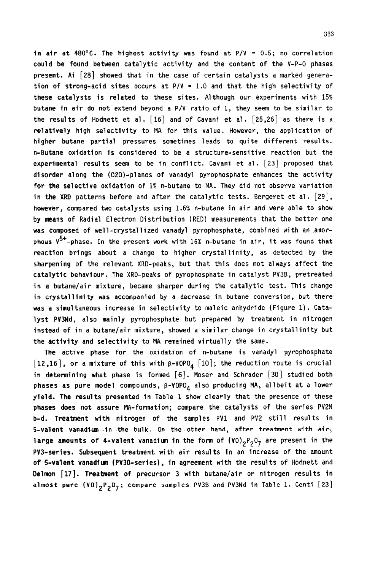**in air at 480°C. The highest activity was found at P/V = 0.5; no correlation could be found between catalytic activity and the content of the V-P-O phases present. Ai [28] showed that in the case of certain catalysts a marked generation of strong-acid sites occurs at P/V = 1.0 and that the high selectivity of these catalysts is related to these sites. Although our experiments with 15% butane in air do not extend beyond a P/V ratio of 1, they seem to be similar to the results of Hodnett et al. [16] and of Cavani et al. [25,26] as there is a relatively high selectivity to MA for this value. However, the application of higher butane partial pressures sometimes leads to quite different results. n-Butane oxidation is considered to be a structure-sensitive reaction but the experimental results seem to be in conflict. Cavani et al. [23] proposed that disorder along the (020)-planes of vanadyl pyrophosphate enhances the activity for the selective oxidation of 1% n-butane to MA. They did not observe variation in the XRD patterns before and after the catalytic tests. Bergeret et al. [29], however, compared two catalysts using 1.6% n-butane in air and were able to show by means of Radial Electron Distribution (RED) measurements that the better one was composed of well-crystallized vanadyl pyrophosphate, combined with an .amorphous V5+-phase.** In **the present work with 15% n-butane in air, it was found that reaction brings about a change to higher crystallinity, as detected by the sharpening of the relevant XRD-peaks, but that this does not always affect the catalytic behaviour. The XRD-peaks of pyrophosphate in catalyst PV3B, pretreated in a butane/air mixture, became sharper during the catalytic test. This change in crystallinity was accompanied by a decrease in butane conversion, but there was a simultaneous increase in selectivity to maleic anhydride (Figure 1). Catalyst PVSNd, also mainly pyrophosphate but prepared by treatment in nitrogen instead of in a butane/air mixture, showed a similar change in crystallinity but the activity and selectivity to MA remained virtually the same.** 

**The active phase for the oxidation of n-butane is vanadyl pyrophosphate**   $[12,16]$ , or a mixture of this with  $\beta$ -VOPO<sub>A</sub>  $[10]$ ; the reduction route is crucial **in determining what phase is formed [6]. Moser and Schrader [30] studied both**  phases as pure model compounds, β-VOPO<sub>A</sub> also producing MA, allbeit at a lower **yield. The results presented in Table 1 show clearly that the presence of these**  phases does not assure MA-formation; compare the catalysts of the series PV2N **b-d. Treatment with nitrogen of the samples PVl and PV2 still results in 5-valent vanadium -in the bulk. On the other hand, after treatment with air,**  large amounts of 4-valent vanadium in the form of (VO)<sub>2</sub>P<sub>2</sub>O<sub>7</sub> are present in the **PV3-series. Subsequent treatment with afr results in an increase of the amount of 5-valent vanadium (PV30-series), in agreement with the results of Hodnett and Delmon [17]. Treatment of precursor 3 with butane/air or nitrogen results in almost pure (VO)2P207; compare samples PV3B and PV3Nd in Table 1. Centi [23]**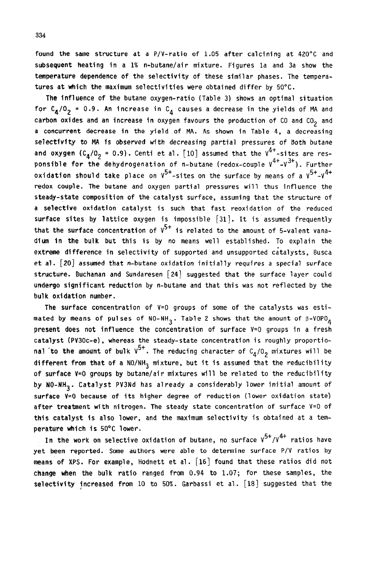**found the same structure at a P/V-ratio of 1.05 after calcining at 420°C and subsequent heating in a 1% n-butane/air mixture. Figures la and 3a show the temperature dependence of the selectivity of these similar phases. The temperatures at which the maximum selectivlties were obtained differ by 5O'C.** 

**The influence of the butane oxygen-ratio (Table 3) shows an optimal situation**  for  $C_{\underline{a}}/0$ <sub>2</sub> = 0.9. An increase in  $C_{\underline{a}}$  causes a decrease in the yields of MA and carbon oxides and an increase in oxygen favours the production of CO and CO<sub>2</sub> and **a concurrent decrease in the yield of MA. As shown in Table 4, a decreasing selectfvfty to MA is observed with decreasing partial pressures of both butane**  and oxygen  $(c_4/c_2 = 0.9)$ . Centi et al.  $[10]$  assumed that the  $v^{4+}$ -sites are res**ponsible for the dehydrogenation of n-butane (redox-couple**  $V^{4+}$ **-** $V^{3+}$ **).** Further  $\alpha$ xidation should take place on  $V^{5+}$ -sites on the surface by means of a  $V^{5+}$ - $V^{4+}$ **redox couple. The butane and oxygen partial pressures will thus influence the steady-state composition of the catalyst surface, assuming that the structure of a selective oxidation catalyst is such that fast reoxidation of the reduced surface sites by lattice oxygen is impossible [31]. It is assumed frequently**  that the surface concentration of  $V^{5+}$  is related to the amount of 5-valent vana**dium in the bulk but this is by no means well established. To explain the extreme difference in selectivity of supported and unsupported catalysts, Busca et al. [20] assumed that n-butane oxidation initially requires a special surface structure. Buchanan and Sundaresen [24] suggested that the surface layer could undergo significant reduction by n-butane and that this was not reflected by the bulk oxidation number.** 

**The surface concentration of V=O groups of some of the catalysts was esti**mated by means of pulses of NO-NH<sub>3</sub>. Table 2 shows that the amount of  $\beta$ -VOPO<sub>A</sub> **present does not influence the concentration of surface V=O groups in a fresh catalyst (PV30c-e), whereas the steady-state concentration is roughly proportio**nal to the amount of bulk  $v^{5+}$ . The reducing character of  $C_4/0_2$  mixtures will be different from that of a NO/NH<sub>3</sub> mixture, but it is assumed that the reducibility **of surface V=O groups by butane/air mixtures will be related to the reducibility by YO-NH3. Catalyst PY3Nd has already a considerably** *lower* **initial amount of surface V=O because of its higher degree of reduction (lower oxidation state) after treatment with nitrogen. The steady state concentration of surface V=O of this catalyst is also lower, and the maximum selectivity is obtained at a temperature which is 50°C lower.** 

In **the work on selective oxidation of butane, no surface V5+/V4+ ratios have yet been reported. Some authors were able to determine surface P/V ratios by means of XPS. For example, Hodnett et al. [16] found that these ratios did** not **change when the bulk ratio ranged from 0.94 to 1.07; for these samples, the selectivity increased from 10 to 50%. Garbassi et al. [18] suggested that the**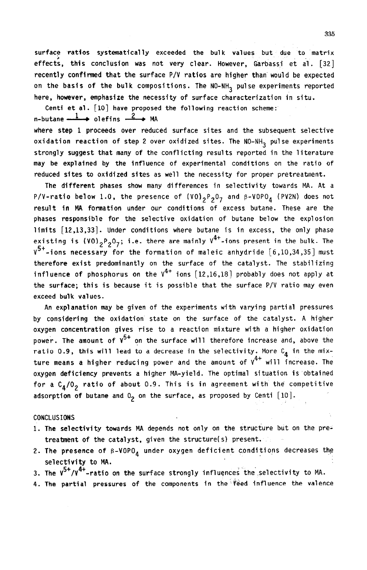surface ratios systematically exceeded the bulk values but due to matrix **effects, this conclusion was not very clear. However, Garbassi et al. [32] recently conflrmed that the surface P/V ratios are higher than would be expected**  on the basis of the bulk compositions. The NO-NH<sub>2</sub> pulse experiments reported **here, however, emphasize the necessity of surface characterization in situ.** 

**Centi et al. [lo] have proposed the following reaction scheme:** 

$$
n
$$
-butane  $\longrightarrow$  olefins  $\longrightarrow$  MA

**where step 1 proceeds over reduced surface sites and the subsequent selective**  oxidation reaction of step 2 over oxidized sites. The NO-NH<sub>2</sub> pulse experiments **strongly suggest that many of the conflicting results reported in the literature may be explained by the influence of experimental conditions on the ratio of reduced sites to oxidized sites as well the necessity for proper pretreatment.** 

**The different phases show many differences in selectivity towards MA. At a**  P/V-ratio below 1.0, the presence of  $(V0)_{2}P_{2}0_{7}$  and  $\beta$ -VOPO<sub>4</sub> (PV2N) does not **result in MA formation under our conditions of excess butane. These are the phases responsible for the selective oxidation of butane below the explosion limits [12,13,33]. Under conditions where butane is in excess, the only phase**  existing is  $(0)$ <sub>2</sub>P<sub>2</sub>O<sub>7</sub>; i.e. there are mainly  $V^{4+}$ -ions present in the bulk. The **VS+ -ions necessary for the formation of maleic anhydride [6,10,34,35] must therefore exist predominantly on the surface of the catalyst. The stabilizing influence of phosphorus on the**  $V^{4+}$  **ions**  $[12,16,18]$  **probably does not apply at the surface; this is because it is possible that the surface P/V ratio may even exceed bulk values.** 

**An explanation may be given of the experiments with varying partial pressures by considering the oxidation state on the surface of the catalyst. A higher oxygen concentration gives rise to a reaction mixture with a higher oxidation power. The amount of V5+ on the surface will therefore increase and, above the**  ratio 0.9, this will lead to a decrease in the selectivity. More C<sub>A</sub> in the mix**ture means a higher reducing power and the amount of V4\* will increase. The oxygen deficiency prevents a higher MA-yield. The optimal situation is obtained**  for a C<sub>4</sub>/O<sub>2</sub> ratio of about 0.9. This is in agreement with the competitive adsorption of butane and  $0<sub>2</sub>$  on the surface, as proposed by Centi  $[10]$ .

## **CONCLUSIONS**

- 1. **The selectivity towards MA depends not only on the structure but on the pretreatment of the catalyst, given the structure(s) present.**
- **2. The presence of p-VOP04 under oxygen deficient conditions decreases the selectivity to MA.**
- **3. The V<sup>5</sup>'/V''-ratio on the surface strongly influences the selectivity to MA.**<br>-
- **4. The partial pressures of the components in the'feed influence the valence**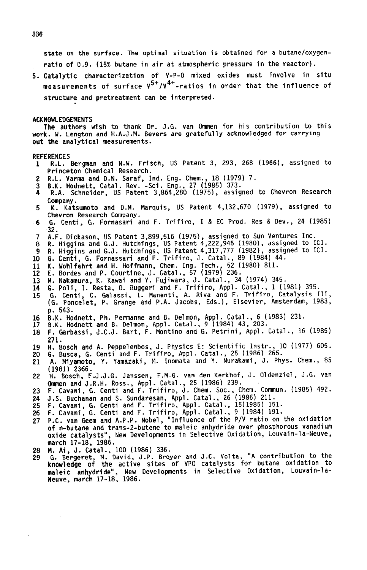**state on the surface. The optimal situation is obtained for a butane/oxygenratio of 0.9. (15% butane in air at atmospheric pressure in the reactor).** 

**5. Catalytic characterization of V-P-O mixed oxides must involve in situ measurements of surface V5+/V4+ -ratios in order that the influence of**  structure and pretreatment can be interpreted.

**ACKNDNLEDGEMENTS** 

The authors wish to thank Dr. J.G. van Ommen for his contribution to this **work. W. Lengton and H.A.J.M. Bevers are gratefully acknowledged for carrying out the analytical measurements.** 

#### **REFERENCES**

- **R.L. Bergman and N.W. Frisch, US Patent 3, 293, 268 (1966), assigned to**   $\mathbf{1}$ **Princeton-Chemical Research.**
- **R.L. Varma and D.N. Saraf, Ind. Eng. Chem., 18 (1979) 7.**
- 3 **B.K. Hodnett, Catal. Rev. -Sci+ Eng., 27 (1985) 373.**   $\mathbf{A}$ **R.A. Schneider, US Patent 3,864,280 (1975), assigned to Chevron Research Company.**
- K. Katsumoto and D.M. Marquis, US Patent 4,132,670 (1979), assigned to г **Chevron Research Company.**
- **6. Centi, 6. Fornasari and F. Trifiro, I & EC Prod. Res & Dev., 24 (1985)**  6 **32.**
- A.F. Dickason, US Patent 3,899,516 (1975), assigned to Sun Ventures Inc. 7
- 8. **Higgins and G.J. Hutchings, US Patent 4,222,945 (1980), assigned to** ICI. 8
- a **R. Higgins and G.J. Hutchings, US Patent 4,317,777 (19821, assigned to ICI. G. Centi, 6. Fornassari and F. Trifiro, J. Catal.,** 89 (1984) 44.
- 10
- 11 K. Wohlfahrt **and H. Hoffmann, Chem. Ing. Tech., 52 (1980) 811.**

12 **E. Bordes and P. Courtine, J. Catal., 57** (1979) **236.** 

- 13 **N. Nakamura, K. Kawai and Y. Fujiwara, J. Catal., 34 (1974) 345.**
- 14 **6. Poli, I. Resta, 0. Ruggeri and F. Trifiro, Appl. Catal.,** 1 **(1981) 395.**  15 **G. Centi, C. Galassi, I. Manenti, A. Riva and F. Trifiro, Catalysis** III, (G. Poncelet, P. **Grange and P.A. Jacobs, Eds.), Elsevier, Amsterdam, 1983, p. 543.**
- 16 **B.K. Hodnett, Ph. Permanne and B. Delmon, Appl. Catal., 6 (1983) 231.**
- 17 **B.K. Hodnett and B. Delmon, Appl. Catal., 9 (1984) 43, 203.**
- **F. Garbassi, J.C.J. Bart, F. Montino and G. Petrini, Appl. Catal., 16 (1985)**  18 **271.**
- 19 **ii. Bosch and A. Peppelenbos, J. Physics E: Scientific Instr., 10 (1977) 605.**
- 20 **6. Busca, G. Centi and F. Trifiro, Appl. Catal., 25 (1986) 265.**  A. Miyamoto, Y. Yamazaki, M. Inomata and Y. Murakami, J. Phys. Chem.. 85 21
- **(1981) 2366. H. Bosch, F.J.J.G. Janssen, F.M.G. van den Kerkhof, J. Oldenziel, J.G. van**  22 **Qmmen and J.R.H. Ross., Appl. Catal., 25 (1986) 239.**
- **F. Cavani, G. Centi and F. Trifiro, J. Chem. Sot., Chem. Commun. (1985) 492.**  23
- 24 **J.S. Buchanan and S. Sundaresan, Appl. Catal., 26 (1986) 211.**
- 25 **F. Cavani, G. Centi and F. Trifiro, Appl. Catal., 15(19851 151. F. Cavani, G. Centi and F. Trifiro, Appl. Catal., 9** (1984) 191.
- 26
- 27 P.C. van Geem and **A.P.P. Nobel, "Influence of the P/V ratio on the oxidation of n-butane and trans-2-butene to maleic anhydride over phosphorous vanadium oxide catalysts", New Developments in Selective Oxidation, Louvain-la-Neuve, march 17-18, 1986.**
- **M. Ai, J. Catal.,** 100 (1986) 336. 28
- 29 G. Bergeret, M. **David, J.P. Broyer and J.C. Volta, "A contribution to the knowledge of the active sites of VP0 catalysts for butane oxidation to maleic anhydride", New Developments in Selective Oxidation, Louvain-la-Neuve, march 17-18, 1986.**